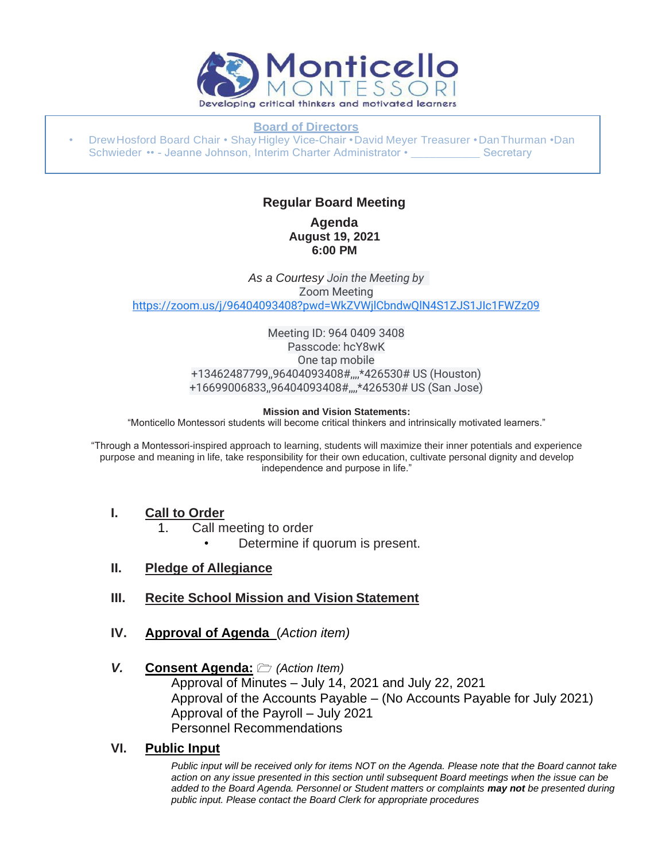

#### **Board of Directors**

• DrewHosford Board Chair • Shay Higley Vice-Chair •David Meyer Treasurer •DanThurman •Dan Schwieder •• - Jeanne Johnson, Interim Charter Administrator • Secretary

#### **Regular Board Meeting Agenda August 19, 2021 6:00 PM**

*As a Courtesy Join the Meeting by* Zoom Meeting [https://zoom.us/j/96404093408?pwd=WkZVWjlCbndwQlN4S1ZJS1JIc1FWZz09](https://www.google.com/url?q=https://zoom.us/j/96404093408?pwd%3DWkZVWjlCbndwQlN4S1ZJS1JIc1FWZz09&sa=D&source=calendar&ust=1629562746935316&usg=AOvVaw3SQJWLRZNFDFtGQO3h0otl)

> Meeting ID: 964 0409 3408 Passcode: hcY8wK One tap mobile +13462487799,,96404093408#,,,,\*426530# US (Houston) +16699006833,,96404093408#,,,,\*426530# US (San Jose)

#### **Mission and Vision Statements:**

"Monticello Montessori students will become critical thinkers and intrinsically motivated learners."

"Through a Montessori-inspired approach to learning, students will maximize their inner potentials and experience purpose and meaning in life, take responsibility for their own education, cultivate personal dignity and develop independence and purpose in life."

#### **I. Call to Order**

- 1. Call meeting to order
	- Determine if quorum is present.
- **II. Pledge of Allegiance**
- **III. Recite School Mission and Vision Statement**
- **IV. Approval of Agenda** (*Action item)*

#### *V.* **Consent Agenda:** *(Action Item)*

Approval of Minutes – July 14, 2021 and July 22, 2021 Approval of the Accounts Payable – (No Accounts Payable for July 2021) Approval of the Payroll – July 2021 Personnel Recommendations

#### **VI. Public Input**

*Public input will be received only for items NOT on the Agenda. Please note that the Board cannot take action on any issue presented in this section until subsequent Board meetings when the issue can be added to the Board Agenda. Personnel or Student matters or complaints may not be presented during public input. Please contact the Board Clerk for appropriate procedures*